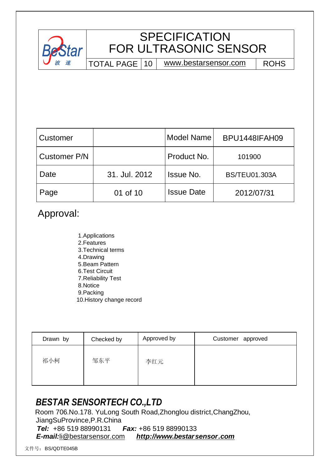

# **SPECIFICATION** FOR ULTRASONIC SENSOR

TOTAL PAGE | 10 | [www.bestarsensor.com](http://www.bestarsensor.com) | ROHS

| Customer     |               | Model Name        | <b>BPU1448IFAH09</b> |
|--------------|---------------|-------------------|----------------------|
| Customer P/N |               | Product No.       | 101900               |
| Date         | 31. Jul. 2012 | <b>Issue No.</b>  | <b>BS/TEU01.303A</b> |
| Page         | 01 of 10      | <b>Issue Date</b> | 2012/07/31           |

## Approval:

1.Applications 2.Features 3.Technical terms 4.Drawing 5.Beam Pattern 6.Test Circuit 7.Reliability Test 8.Notice 9.Packing 10.History change record

| Drawn by | Checked by | Approved by | Customer approved |
|----------|------------|-------------|-------------------|
| 祁小柯      | 邹东平        | 李红元         |                   |

## *BESTAR SENSORTECH CO.,LTD*

 Room 706.No.178. YuLong South Road,Zhonglou district,ChangZhou, JiangSuProvince,P.R.China *Tel:* +86 519 88990131 *Fax:* +86 519 88990133 *E-mail:*[li@bestarsensor.com](mailto:li@bestarsensor.com) *<http://www.bestarsensor.com>*

文件号: BS/QDTE045B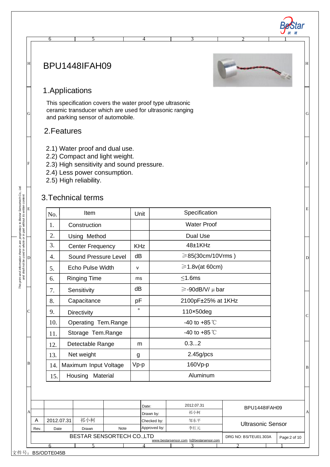### BPU1448IFAH09



2 1

B

 $\overline{C}$ 

D

E

F

G

H

*波 速*

Star

### 1.Applications

This specification covers the water proof type ultrasonic ceramic transducer which are used for ultrasonic ranging and parking sensor of automobile.

6 5 4 3

#### 2.Features

- 2.1) Water proof and dual use.
- 2.2) Compact and light weight.
- 2.3) High sensitivity and sound pressure.
- 2.4) Less power consumption.
- 2.5) High reliability.

#### 3.Technical terms

| No. | Item                    | Unit         | Specification            |
|-----|-------------------------|--------------|--------------------------|
| 1.  | Construction            |              | <b>Water Proof</b>       |
| 2.  | Using Method            |              | Dual Use                 |
| 3.  | <b>Center Frequency</b> | <b>KHz</b>   | $48+1$ KHz               |
| 4.  | Sound Pressure Level    | dB           | ≥85(30cm/10Vrms)         |
| 5.  | Echo Pulse Width        | $\mathsf{v}$ | $\geq 1.8$ v(at 60cm)    |
| 6.  | <b>Ringing Time</b>     | ms           | $\leq$ 1.6ms             |
| 7.  | Sensitivity             | dB           | $\ge$ -90dB/V/ $\mu$ bar |
| 8.  | Capacitance             | рF           | 2100pF±25% at 1KHz       |
| 9.  | Directivity             | $\circ$      | 110×50deg                |
| 10. | Operating Tem.Range     |              | -40 to +85 $\degree$ C   |
| 11. | Storage Tem.Range       |              | -40 to +85 $\degree$ C   |
| 12. | Detectable Range        | m            | 0.32                     |
| 13. | Net weight              | g            | 2.45g/pcs                |
| 14. | Maximum Input Voltage   | $Vp-p$       | $160Vp-p$                |
| 15. | Housing<br>Material     |              | Aluminum                 |

|              |      |            |                                                                                                                                                                                                                                 |  | 2012.07.31 |  |  |
|--------------|------|------------|---------------------------------------------------------------------------------------------------------------------------------------------------------------------------------------------------------------------------------|--|------------|--|--|
| $\mathbf{A}$ |      |            |                                                                                                                                                                                                                                 |  | 祁小柯        |  |  |
|              | Α    | 2012.07.31 | 祁小柯                                                                                                                                                                                                                             |  | 邹东平        |  |  |
|              | Rev. | Date       | Drawn                                                                                                                                                                                                                           |  | 李红元        |  |  |
|              |      |            | Date:<br>BPU1448IFAH09<br>А<br>Drawn by:<br>Checked by:<br><b>Ultrasonic Sensor</b><br>Approved by:<br>Note<br>BESTAR SENSORTECH CO., LTD<br>DRG NO: BS/TEU01.303A<br>Page: 2 of 10<br>www.bestarsensor.com li@bestarsensor.com |  |            |  |  |
|              |      |            |                                                                                                                                                                                                                                 |  |            |  |  |
|              |      |            |                                                                                                                                                                                                                                 |  |            |  |  |

文件号: BS/QDTE045B

This print and information there in are proprietary to Bestar Sensortech Co., Ltd.<br>and shall not be used in whole or in part without its written content *This print and information there in are proprietary to Bestar Sensortech Co., Ltd. and shall not be used in whole or in part without its written content*

 $\overline{D}$ 

E

F

G

H

B

C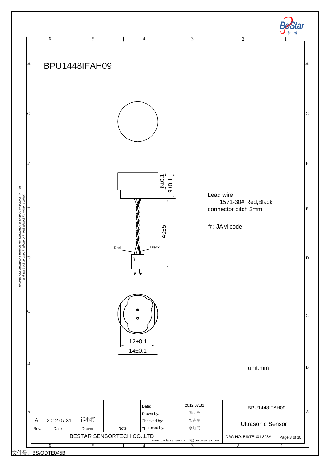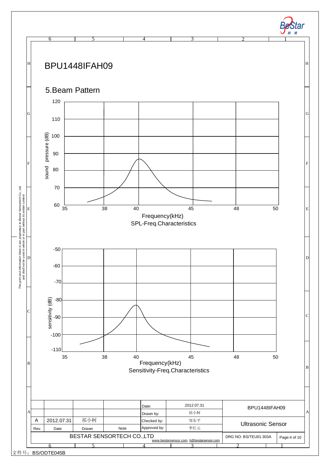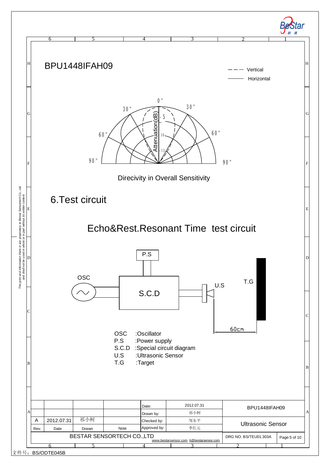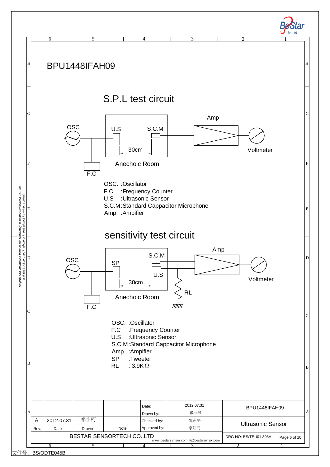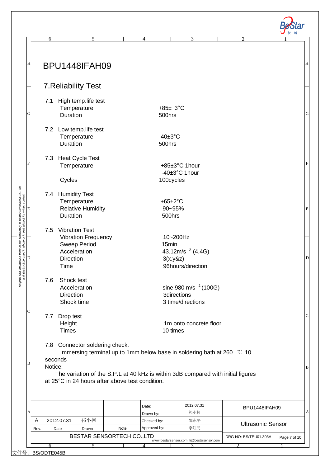| Н |                    |                                         | BPU1448IFAH09                                                                              |      |                             |                                                                                                                                                            |                          |  |
|---|--------------------|-----------------------------------------|--------------------------------------------------------------------------------------------|------|-----------------------------|------------------------------------------------------------------------------------------------------------------------------------------------------------|--------------------------|--|
|   |                    |                                         | <b>7. Reliability Test</b>                                                                 |      |                             |                                                                                                                                                            |                          |  |
| G | 7.1                | Duration                                | High temp.life test<br>Temperature                                                         |      |                             | $+85±3°C$<br>500hrs                                                                                                                                        |                          |  |
|   |                    | Duration                                | 7.2 Low temp.life test<br>Temperature                                                      |      |                             | $-40\pm3^{\circ}$ C<br>500hrs                                                                                                                              |                          |  |
|   |                    | Cycles                                  | 7.3 Heat Cycle Test<br>Temperature                                                         |      |                             | +85±3°C 1hour<br>-40±3°C 1hour<br>100cycles                                                                                                                |                          |  |
|   |                    | Duration                                | 7.4 Humidity Test<br>Temperature<br><b>Relative Humidity</b>                               |      |                             | $+65\pm2\degree C$<br>90~95%<br>500hrs                                                                                                                     |                          |  |
|   | 7.5                | Direction<br>Time                       | <b>Vibration Test</b><br><b>Vibration Frequency</b><br><b>Sweep Period</b><br>Acceleration |      |                             | 10~200Hz<br>15min<br>43.12m/s $^{2}$ (4.4G)<br>3(x.y&z)<br>96hours/direction                                                                               |                          |  |
|   | 7.6                | Shock test<br><b>Direction</b>          | Acceleration<br>Shock time                                                                 |      |                             | sine 980 m/s $^{2}$ (100G)<br><b>3directions</b><br>3 time/directions                                                                                      |                          |  |
|   |                    | 7.7 Drop test<br>Height<br><b>Times</b> |                                                                                            |      |                             | 1m onto concrete floor<br>10 times                                                                                                                         |                          |  |
| В | seconds<br>Notice: |                                         | 7.8 Connector soldering check:<br>at 25°C in 24 hours after above test condition.          |      |                             | Immersing terminal up to 1mm below base in soldering bath at 260 °C 10<br>The variation of the S.P.L at 40 kHz is within 3dB compared with initial figures |                          |  |
| Α |                    |                                         |                                                                                            |      | Date:<br>Drawn by:          | 2012.07.31<br>祁小柯                                                                                                                                          | BPU1448IFAH09            |  |
| Α |                    | 2012.07.31                              | 祁小柯                                                                                        | Note | Checked by:<br>Approved by: | 邹东平<br>李红元                                                                                                                                                 | <b>Ultrasonic Sensor</b> |  |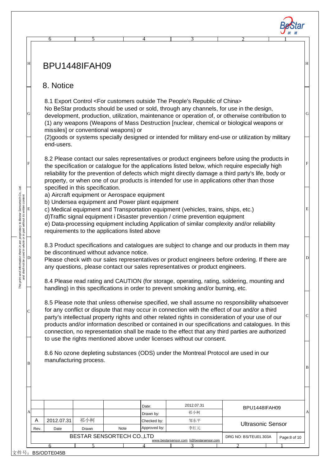|                                                                                                                                                                     | 6             |                                         |      |                                                 |                                                                                                                                                                    |                                                                                                                                                                                                   |              |
|---------------------------------------------------------------------------------------------------------------------------------------------------------------------|---------------|-----------------------------------------|------|-------------------------------------------------|--------------------------------------------------------------------------------------------------------------------------------------------------------------------|---------------------------------------------------------------------------------------------------------------------------------------------------------------------------------------------------|--------------|
|                                                                                                                                                                     |               |                                         |      |                                                 |                                                                                                                                                                    |                                                                                                                                                                                                   |              |
|                                                                                                                                                                     |               |                                         |      |                                                 |                                                                                                                                                                    |                                                                                                                                                                                                   |              |
|                                                                                                                                                                     | BPU1448IFAH09 |                                         |      |                                                 |                                                                                                                                                                    |                                                                                                                                                                                                   |              |
|                                                                                                                                                                     |               |                                         |      |                                                 |                                                                                                                                                                    |                                                                                                                                                                                                   |              |
|                                                                                                                                                                     | 8. Notice     |                                         |      |                                                 |                                                                                                                                                                    |                                                                                                                                                                                                   |              |
|                                                                                                                                                                     |               |                                         |      |                                                 |                                                                                                                                                                    |                                                                                                                                                                                                   |              |
|                                                                                                                                                                     |               |                                         |      |                                                 | 8.1 Export Control <for china="" customers="" of="" outside="" people's="" republic="" the=""></for>                                                               | No BeStar products should be used or sold, through any channels, for use in the design,                                                                                                           |              |
|                                                                                                                                                                     |               |                                         |      |                                                 |                                                                                                                                                                    | development, production, utilization, maintenance or operation of, or otherwise contribution to                                                                                                   |              |
|                                                                                                                                                                     |               |                                         |      |                                                 |                                                                                                                                                                    | (1) any weapons (Weapons of Mass Destruction [nuclear, chemical or biological weapons or                                                                                                          |              |
|                                                                                                                                                                     |               | missiles] or conventional weapons) or   |      |                                                 |                                                                                                                                                                    | (2) goods or systems specially designed or intended for military end-use or utilization by military                                                                                               |              |
|                                                                                                                                                                     | end-users.    |                                         |      |                                                 |                                                                                                                                                                    |                                                                                                                                                                                                   |              |
|                                                                                                                                                                     |               |                                         |      |                                                 |                                                                                                                                                                    |                                                                                                                                                                                                   |              |
|                                                                                                                                                                     |               |                                         |      |                                                 |                                                                                                                                                                    | 8.2 Please contact our sales representatives or product engineers before using the products in<br>the specification or catalogue for the applications listed below, which require especially high |              |
|                                                                                                                                                                     |               |                                         |      |                                                 |                                                                                                                                                                    | reliability for the prevention of defects which might directly damage a third party's life, body or                                                                                               |              |
|                                                                                                                                                                     |               | specified in this specification.        |      |                                                 |                                                                                                                                                                    | property, or when one of our products is intended for use in applications other than those                                                                                                        |              |
| print and information there in are proprietary to Bestar Sensortech Co., Ltd.<br>and shall not be used in who le or in part without its written content.<br>D<br>El |               |                                         |      | a) Aircraft equipment or Aerospace equipment    |                                                                                                                                                                    |                                                                                                                                                                                                   |              |
|                                                                                                                                                                     |               |                                         |      | b) Undersea equipment and Power plant equipment |                                                                                                                                                                    |                                                                                                                                                                                                   |              |
|                                                                                                                                                                     |               |                                         |      |                                                 | c) Medical equipment and Transportation equipment (vehicles, trains, ships, etc.)<br>d)Traffic signal equipment i Disaster prevention / crime prevention equipment |                                                                                                                                                                                                   |              |
|                                                                                                                                                                     |               |                                         |      |                                                 |                                                                                                                                                                    | e) Data-processing equipment including Application of similar complexity and/or reliability                                                                                                       |              |
|                                                                                                                                                                     |               |                                         |      | requirements to the applications listed above   |                                                                                                                                                                    |                                                                                                                                                                                                   |              |
|                                                                                                                                                                     |               |                                         |      |                                                 |                                                                                                                                                                    | 8.3 Product specifications and catalogues are subject to change and our products in them may                                                                                                      |              |
|                                                                                                                                                                     |               | be discontinued without advance notice. |      |                                                 |                                                                                                                                                                    |                                                                                                                                                                                                   |              |
|                                                                                                                                                                     |               |                                         |      |                                                 | any questions, please contact our sales representatives or product engineers.                                                                                      | Please check with our sales representatives or product engineers before ordering. If there are                                                                                                    |              |
|                                                                                                                                                                     |               |                                         |      |                                                 |                                                                                                                                                                    |                                                                                                                                                                                                   |              |
|                                                                                                                                                                     |               |                                         |      |                                                 | handling) in this specifications in order to prevent smoking and/or burning, etc.                                                                                  | 8.4 Please read rating and CAUTION (for storage, operating, rating, soldering, mounting and                                                                                                       |              |
|                                                                                                                                                                     |               |                                         |      |                                                 |                                                                                                                                                                    |                                                                                                                                                                                                   |              |
|                                                                                                                                                                     |               |                                         |      |                                                 |                                                                                                                                                                    | 8.5 Please note that unless otherwise specified, we shall assume no responsibility whatsoever<br>for any conflict or dispute that may occur in connection with the effect of our and/or a third   |              |
|                                                                                                                                                                     |               |                                         |      |                                                 |                                                                                                                                                                    | party's intellectual property rights and other related rights in consideration of your use of our                                                                                                 |              |
|                                                                                                                                                                     |               |                                         |      |                                                 |                                                                                                                                                                    | products and/or information described or contained in our specifications and catalogues. In this                                                                                                  |              |
|                                                                                                                                                                     |               |                                         |      |                                                 | to use the rights mentioned above under licenses without our consent.                                                                                              | connection, no representation shall be made to the effect that any third parties are authorized                                                                                                   |              |
|                                                                                                                                                                     |               |                                         |      |                                                 |                                                                                                                                                                    |                                                                                                                                                                                                   |              |
|                                                                                                                                                                     |               | manufacturing process.                  |      |                                                 |                                                                                                                                                                    | 8.6 No ozone depleting substances (ODS) under the Montreal Protocol are used in our                                                                                                               |              |
|                                                                                                                                                                     |               |                                         |      |                                                 |                                                                                                                                                                    |                                                                                                                                                                                                   |              |
|                                                                                                                                                                     |               |                                         |      |                                                 |                                                                                                                                                                    |                                                                                                                                                                                                   |              |
|                                                                                                                                                                     |               |                                         |      |                                                 |                                                                                                                                                                    |                                                                                                                                                                                                   |              |
|                                                                                                                                                                     |               |                                         |      |                                                 |                                                                                                                                                                    |                                                                                                                                                                                                   |              |
| Α                                                                                                                                                                   |               |                                         |      | Date:                                           | 2012.07.31<br>祁小柯                                                                                                                                                  | BPU1448IFAH09                                                                                                                                                                                     |              |
| Α                                                                                                                                                                   | 2012.07.31    | 祁小柯                                     |      | Drawn by:<br>Checked by:                        | 邹东平                                                                                                                                                                |                                                                                                                                                                                                   |              |
| Rev.                                                                                                                                                                | Date          | Drawn                                   | Note | Approved by:                                    | 李红元                                                                                                                                                                | <b>Ultrasonic Sensor</b>                                                                                                                                                                          |              |
|                                                                                                                                                                     |               | BESTAR SENSORTECH CO., LTD              |      |                                                 | www.bestarsensor.com li@bestarsensor.com                                                                                                                           | DRG NO: BS/TEU01.303A                                                                                                                                                                             | Page:8 of 10 |
|                                                                                                                                                                     | 6             |                                         |      |                                                 |                                                                                                                                                                    |                                                                                                                                                                                                   |              |

*BeStar* 

文件号: BS/QDTE045B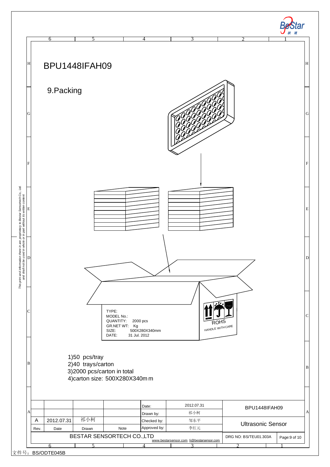